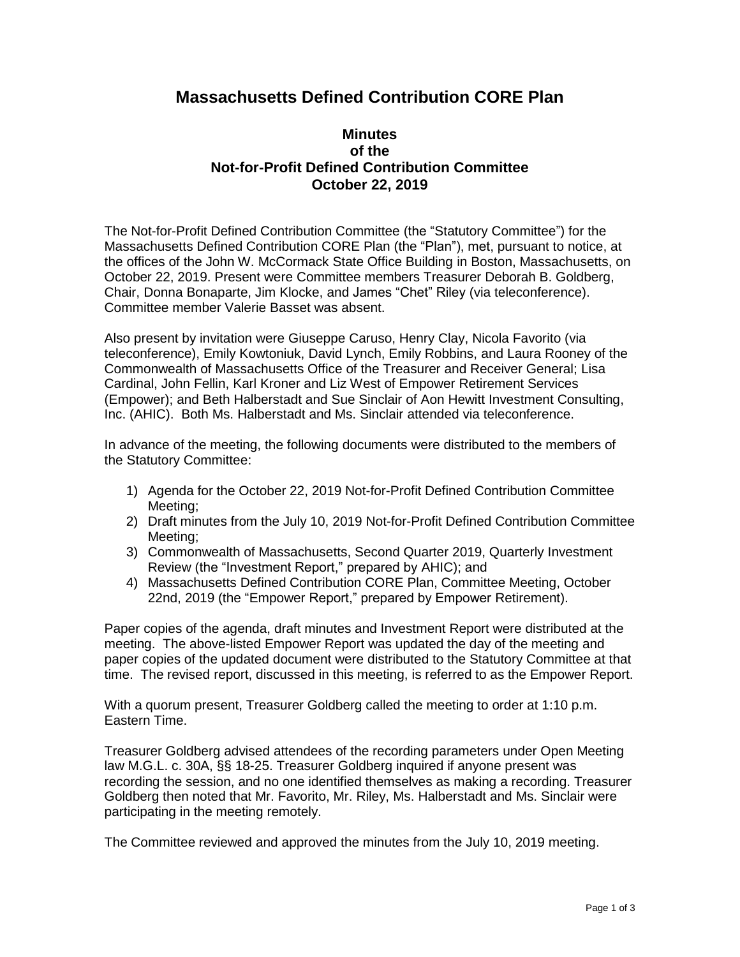## **Massachusetts Defined Contribution CORE Plan**

## **Minutes of the Not-for-Profit Defined Contribution Committee October 22, 2019**

The Not-for-Profit Defined Contribution Committee (the "Statutory Committee") for the Massachusetts Defined Contribution CORE Plan (the "Plan"), met, pursuant to notice, at the offices of the John W. McCormack State Office Building in Boston, Massachusetts, on October 22, 2019. Present were Committee members Treasurer Deborah B. Goldberg, Chair, Donna Bonaparte, Jim Klocke, and James "Chet" Riley (via teleconference). Committee member Valerie Basset was absent.

Also present by invitation were Giuseppe Caruso, Henry Clay, Nicola Favorito (via teleconference), Emily Kowtoniuk, David Lynch, Emily Robbins, and Laura Rooney of the Commonwealth of Massachusetts Office of the Treasurer and Receiver General; Lisa Cardinal, John Fellin, Karl Kroner and Liz West of Empower Retirement Services (Empower); and Beth Halberstadt and Sue Sinclair of Aon Hewitt Investment Consulting, Inc. (AHIC). Both Ms. Halberstadt and Ms. Sinclair attended via teleconference.

In advance of the meeting, the following documents were distributed to the members of the Statutory Committee:

- 1) Agenda for the October 22, 2019 Not-for-Profit Defined Contribution Committee Meeting;
- 2) Draft minutes from the July 10, 2019 Not-for-Profit Defined Contribution Committee Meeting;
- 3) Commonwealth of Massachusetts, Second Quarter 2019, Quarterly Investment Review (the "Investment Report," prepared by AHIC); and
- 4) Massachusetts Defined Contribution CORE Plan, Committee Meeting, October 22nd, 2019 (the "Empower Report," prepared by Empower Retirement).

Paper copies of the agenda, draft minutes and Investment Report were distributed at the meeting. The above-listed Empower Report was updated the day of the meeting and paper copies of the updated document were distributed to the Statutory Committee at that time. The revised report, discussed in this meeting, is referred to as the Empower Report.

With a quorum present, Treasurer Goldberg called the meeting to order at 1:10 p.m. Eastern Time.

Treasurer Goldberg advised attendees of the recording parameters under Open Meeting law M.G.L. c. 30A, §§ 18-25. Treasurer Goldberg inquired if anyone present was recording the session, and no one identified themselves as making a recording. Treasurer Goldberg then noted that Mr. Favorito, Mr. Riley, Ms. Halberstadt and Ms. Sinclair were participating in the meeting remotely.

The Committee reviewed and approved the minutes from the July 10, 2019 meeting.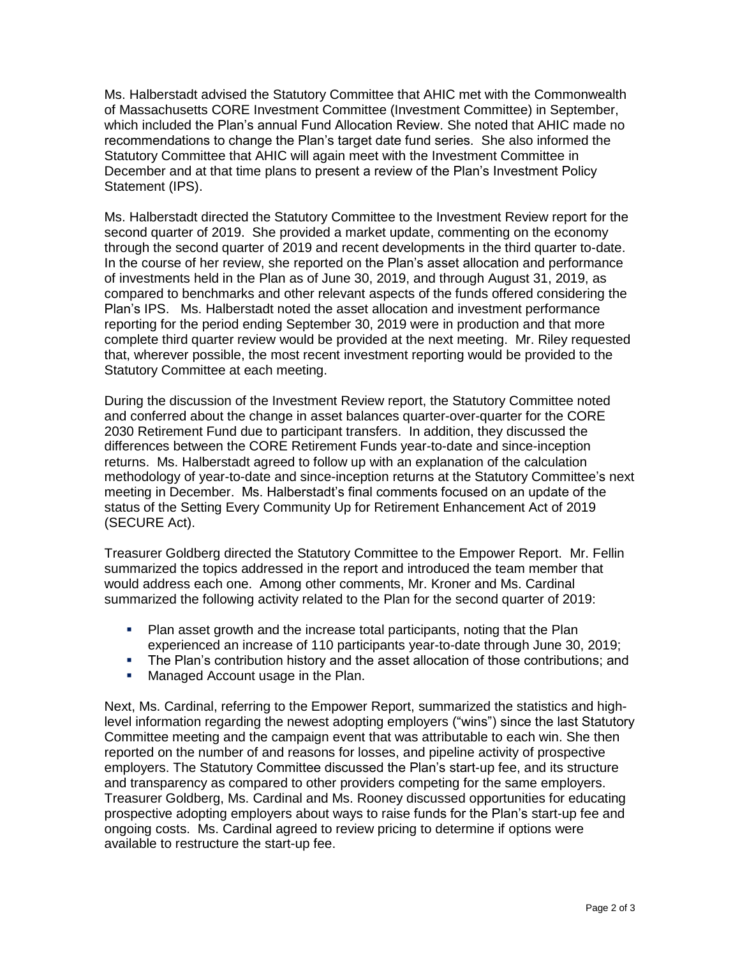Ms. Halberstadt advised the Statutory Committee that AHIC met with the Commonwealth of Massachusetts CORE Investment Committee (Investment Committee) in September, which included the Plan's annual Fund Allocation Review. She noted that AHIC made no recommendations to change the Plan's target date fund series. She also informed the Statutory Committee that AHIC will again meet with the Investment Committee in December and at that time plans to present a review of the Plan's Investment Policy Statement (IPS).

Ms. Halberstadt directed the Statutory Committee to the Investment Review report for the second quarter of 2019. She provided a market update, commenting on the economy through the second quarter of 2019 and recent developments in the third quarter to-date. In the course of her review, she reported on the Plan's asset allocation and performance of investments held in the Plan as of June 30, 2019, and through August 31, 2019, as compared to benchmarks and other relevant aspects of the funds offered considering the Plan's IPS. Ms. Halberstadt noted the asset allocation and investment performance reporting for the period ending September 30, 2019 were in production and that more complete third quarter review would be provided at the next meeting. Mr. Riley requested that, wherever possible, the most recent investment reporting would be provided to the Statutory Committee at each meeting.

During the discussion of the Investment Review report, the Statutory Committee noted and conferred about the change in asset balances quarter-over-quarter for the CORE 2030 Retirement Fund due to participant transfers. In addition, they discussed the differences between the CORE Retirement Funds year-to-date and since-inception returns. Ms. Halberstadt agreed to follow up with an explanation of the calculation methodology of year-to-date and since-inception returns at the Statutory Committee's next meeting in December. Ms. Halberstadt's final comments focused on an update of the status of the Setting Every Community Up for Retirement Enhancement Act of 2019 (SECURE Act).

Treasurer Goldberg directed the Statutory Committee to the Empower Report. Mr. Fellin summarized the topics addressed in the report and introduced the team member that would address each one. Among other comments, Mr. Kroner and Ms. Cardinal summarized the following activity related to the Plan for the second quarter of 2019:

- **Plan asset growth and the increase total participants, noting that the Plan** experienced an increase of 110 participants year-to-date through June 30, 2019;
- The Plan's contribution history and the asset allocation of those contributions; and
- Managed Account usage in the Plan.

Next, Ms. Cardinal, referring to the Empower Report, summarized the statistics and highlevel information regarding the newest adopting employers ("wins") since the last Statutory Committee meeting and the campaign event that was attributable to each win. She then reported on the number of and reasons for losses, and pipeline activity of prospective employers. The Statutory Committee discussed the Plan's start-up fee, and its structure and transparency as compared to other providers competing for the same employers. Treasurer Goldberg, Ms. Cardinal and Ms. Rooney discussed opportunities for educating prospective adopting employers about ways to raise funds for the Plan's start-up fee and ongoing costs. Ms. Cardinal agreed to review pricing to determine if options were available to restructure the start-up fee.